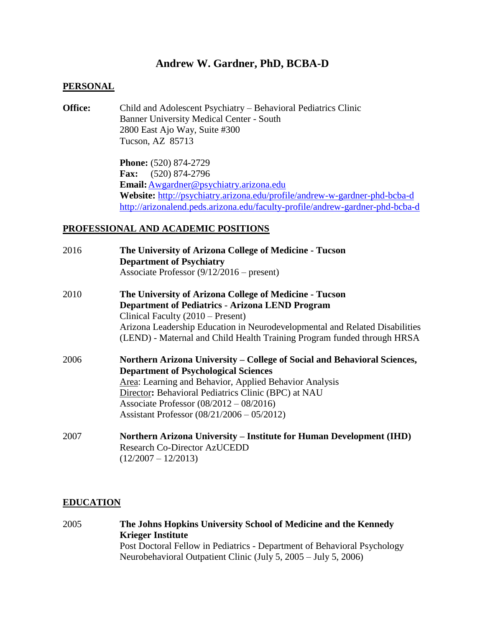# **Andrew W. Gardner, PhD, BCBA-D**

#### **PERSONAL**

**Office:** Child and Adolescent Psychiatry – Behavioral Pediatrics Clinic Banner University Medical Center - South 2800 East Ajo Way, Suite #300 Tucson, AZ 85713

> **Phone:** (520) 874-2729 **Fax:** (520) 874-2796 **Email:**[Awgardner@psychiatry.arizona.edu](mailto:Awgardner@psychiatry.arizona.edu) **Website:** <http://psychiatry.arizona.edu/profile/andrew-w-gardner-phd-bcba-d> <http://arizonalend.peds.arizona.edu/faculty-profile/andrew-gardner-phd-bcba-d>

### **PROFESSIONAL AND ACADEMIC POSITIONS**

| 2016 | The University of Arizona College of Medicine - Tucson<br><b>Department of Psychiatry</b> |
|------|-------------------------------------------------------------------------------------------|
|      | Associate Professor $(9/12/2016 -$ present)                                               |
| 2010 | The University of Arizona College of Medicine - Tucson                                    |
|      | <b>Department of Pediatrics - Arizona LEND Program</b>                                    |
|      | Clinical Faculty (2010 – Present)                                                         |
|      | Arizona Leadership Education in Neurodevelopmental and Related Disabilities               |
|      | (LEND) - Maternal and Child Health Training Program funded through HRSA                   |
| 2006 | Northern Arizona University – College of Social and Behavioral Sciences,                  |
|      | <b>Department of Psychological Sciences</b>                                               |
|      | Area: Learning and Behavior, Applied Behavior Analysis                                    |
|      | Director: Behavioral Pediatrics Clinic (BPC) at NAU                                       |
|      | Associate Professor $(08/2012 - 08/2016)$                                                 |
|      | Assistant Professor $(08/21/2006 - 05/2012)$                                              |
| 2007 | <b>Northern Arizona University – Institute for Human Development (IHD)</b>                |
|      | <b>Research Co-Director AzUCEDD</b>                                                       |
|      | $(12/2007 - 12/2013)$                                                                     |

#### **EDUCATION**

2005 **The Johns Hopkins University School of Medicine and the Kennedy Krieger Institute** Post Doctoral Fellow in Pediatrics - Department of Behavioral Psychology Neurobehavioral Outpatient Clinic (July 5, 2005 – July 5, 2006)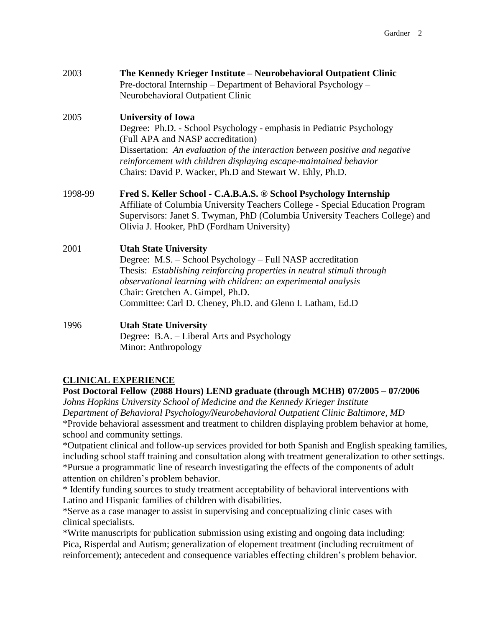| 2003    | The Kennedy Krieger Institute - Neurobehavioral Outpatient Clinic<br>Pre-doctoral Internship - Department of Behavioral Psychology -<br>Neurobehavioral Outpatient Clinic                                                                                                                                                                               |
|---------|---------------------------------------------------------------------------------------------------------------------------------------------------------------------------------------------------------------------------------------------------------------------------------------------------------------------------------------------------------|
| 2005    | <b>University of Iowa</b><br>Degree: Ph.D. - School Psychology - emphasis in Pediatric Psychology<br>(Full APA and NASP accreditation)<br>Dissertation: An evaluation of the interaction between positive and negative<br>reinforcement with children displaying escape-maintained behavior<br>Chairs: David P. Wacker, Ph.D and Stewart W. Ehly, Ph.D. |
| 1998-99 | Fred S. Keller School - C.A.B.A.S. ® School Psychology Internship<br>Affiliate of Columbia University Teachers College - Special Education Program<br>Supervisors: Janet S. Twyman, PhD (Columbia University Teachers College) and<br>Olivia J. Hooker, PhD (Fordham University)                                                                        |
| 2001    | <b>Utah State University</b><br>Degree: M.S. - School Psychology - Full NASP accreditation<br>Thesis: Establishing reinforcing properties in neutral stimuli through<br>observational learning with children: an experimental analysis<br>Chair: Gretchen A. Gimpel, Ph.D.<br>Committee: Carl D. Cheney, Ph.D. and Glenn I. Latham, Ed.D                |
| 1996    | <b>Utah State University</b><br>Degree: B.A. – Liberal Arts and Psychology<br>Minor: Anthropology                                                                                                                                                                                                                                                       |

# **CLINICAL EXPERIENCE**

**Post Doctoral Fellow (2088 Hours) LEND graduate (through MCHB) 07/2005 – 07/2006** *Johns Hopkins University School of Medicine and the Kennedy Krieger Institute Department of Behavioral Psychology/Neurobehavioral Outpatient Clinic Baltimore, MD* \*Provide behavioral assessment and treatment to children displaying problem behavior at home, school and community settings.

\*Outpatient clinical and follow-up services provided for both Spanish and English speaking families, including school staff training and consultation along with treatment generalization to other settings. \*Pursue a programmatic line of research investigating the effects of the components of adult attention on children's problem behavior.

\* Identify funding sources to study treatment acceptability of behavioral interventions with Latino and Hispanic families of children with disabilities.

\*Serve as a case manager to assist in supervising and conceptualizing clinic cases with clinical specialists.

\*Write manuscripts for publication submission using existing and ongoing data including: Pica, Risperdal and Autism; generalization of elopement treatment (including recruitment of reinforcement); antecedent and consequence variables effecting children's problem behavior.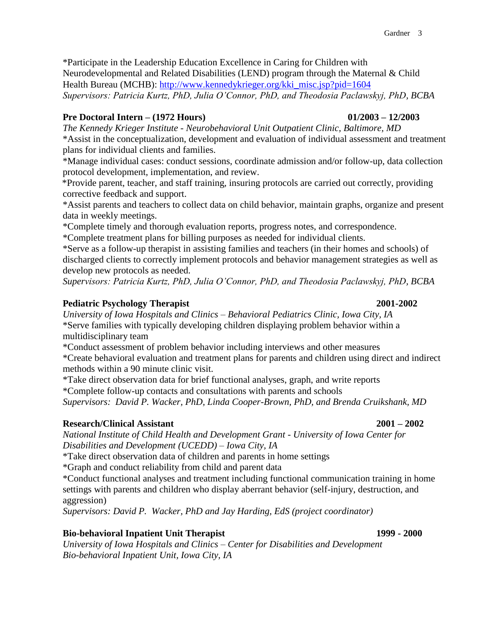\*Participate in the Leadership Education Excellence in Caring for Children with Neurodevelopmental and Related Disabilities (LEND) program through the Maternal & Child Health Bureau (MCHB): [http://www.kennedykrieger.org/kki\\_misc.jsp?pid=1604](http://www.kennedykrieger.org/kki_misc.jsp?pid=1604) *Supervisors: Patricia Kurtz, PhD, Julia O'Connor, PhD, and Theodosia Paclawskyj, PhD, BCBA*

## **Pre Doctoral Intern – (1972 Hours) 01/2003 – 12/2003**

*The Kennedy Krieger Institute - Neurobehavioral Unit Outpatient Clinic, Baltimore, MD* \*Assist in the conceptualization, development and evaluation of individual assessment and treatment plans for individual clients and families.

\*Manage individual cases: conduct sessions, coordinate admission and/or follow-up, data collection protocol development, implementation, and review.

\*Provide parent, teacher, and staff training, insuring protocols are carried out correctly, providing corrective feedback and support.

\*Assist parents and teachers to collect data on child behavior, maintain graphs, organize and present data in weekly meetings.

\*Complete timely and thorough evaluation reports, progress notes, and correspondence.

\*Complete treatment plans for billing purposes as needed for individual clients.

\*Serve as a follow-up therapist in assisting families and teachers (in their homes and schools) of discharged clients to correctly implement protocols and behavior management strategies as well as develop new protocols as needed.

*Supervisors: Patricia Kurtz, PhD, Julia O'Connor, PhD, and Theodosia Paclawskyj, PhD, BCBA*

## **Pediatric Psychology Therapist 2001-2002**

*University of Iowa Hospitals and Clinics – Behavioral Pediatrics Clinic, Iowa City, IA* \*Serve families with typically developing children displaying problem behavior within a multidisciplinary team

\*Conduct assessment of problem behavior including interviews and other measures

\*Create behavioral evaluation and treatment plans for parents and children using direct and indirect methods within a 90 minute clinic visit.

\*Take direct observation data for brief functional analyses, graph, and write reports \*Complete follow-up contacts and consultations with parents and schools

*Supervisors: David P. Wacker, PhD, Linda Cooper-Brown, PhD, and Brenda Cruikshank, MD*

### **Research/Clinical Assistant 2001 – 2002**

*National Institute of Child Health and Development Grant - University of Iowa Center for Disabilities and Development (UCEDD) – Iowa City, IA*

\*Take direct observation data of children and parents in home settings

\*Graph and conduct reliability from child and parent data

\*Conduct functional analyses and treatment including functional communication training in home settings with parents and children who display aberrant behavior (self-injury, destruction, and aggression)

*Supervisors: David P. Wacker, PhD and Jay Harding, EdS (project coordinator)*

## **Bio-behavioral Inpatient Unit Therapist 1999 - 2000**

*University of Iowa Hospitals and Clinics – Center for Disabilities and Development Bio-behavioral Inpatient Unit, Iowa City, IA*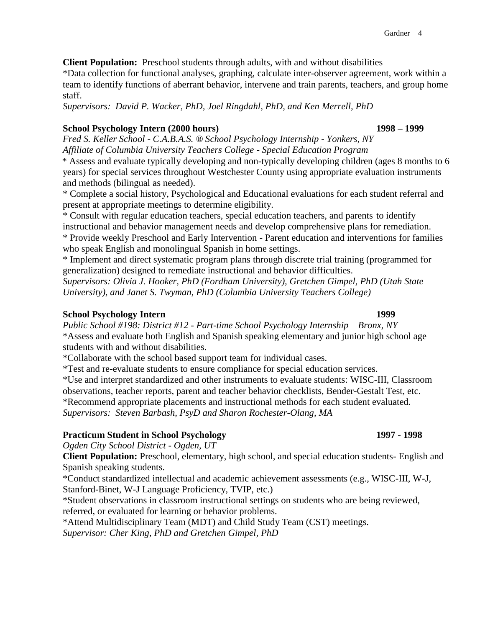**Client Population:** Preschool students through adults, with and without disabilities

\*Data collection for functional analyses, graphing, calculate inter-observer agreement, work within a team to identify functions of aberrant behavior, intervene and train parents, teachers, and group home staff.

*Supervisors: David P. Wacker, PhD, Joel Ringdahl, PhD, and Ken Merrell, PhD*

## **School Psychology Intern (2000 hours) 1998 – 1999**

*Fred S. Keller School - C.A.B.A.S. ® School Psychology Internship - Yonkers, NY Affiliate of Columbia University Teachers College - Special Education Program*

\* Assess and evaluate typically developing and non-typically developing children (ages 8 months to 6 years) for special services throughout Westchester County using appropriate evaluation instruments and methods (bilingual as needed).

\* Complete a social history, Psychological and Educational evaluations for each student referral and present at appropriate meetings to determine eligibility.

\* Consult with regular education teachers, special education teachers, and parents to identify instructional and behavior management needs and develop comprehensive plans for remediation. \* Provide weekly Preschool and Early Intervention - Parent education and interventions for families who speak English and monolingual Spanish in home settings.

\* Implement and direct systematic program plans through discrete trial training (programmed for generalization) designed to remediate instructional and behavior difficulties.

*Supervisors: Olivia J. Hooker, PhD (Fordham University), Gretchen Gimpel, PhD (Utah State University), and Janet S. Twyman, PhD (Columbia University Teachers College)*

### **School Psychology Intern 1999**

*Public School #198: District #12 - Part-time School Psychology Internship – Bronx, NY* \*Assess and evaluate both English and Spanish speaking elementary and junior high school age students with and without disabilities.

\*Collaborate with the school based support team for individual cases.

\*Test and re-evaluate students to ensure compliance for special education services.

\*Use and interpret standardized and other instruments to evaluate students: WISC-III, Classroom observations, teacher reports, parent and teacher behavior checklists, Bender-Gestalt Test, etc. \*Recommend appropriate placements and instructional methods for each student evaluated. *Supervisors: Steven Barbash, PsyD and Sharon Rochester-Olang, MA*

## **Practicum Student in School Psychology 1997 - 1998**

*Ogden City School District - Ogden, UT* 

**Client Population:** Preschool, elementary, high school, and special education students- English and Spanish speaking students.

\*Conduct standardized intellectual and academic achievement assessments (e.g., WISC-III, W-J, Stanford-Binet, W-J Language Proficiency, TVIP, etc.)

\*Student observations in classroom instructional settings on students who are being reviewed, referred, or evaluated for learning or behavior problems.

\*Attend Multidisciplinary Team (MDT) and Child Study Team (CST) meetings. *Supervisor: Cher King, PhD and Gretchen Gimpel, PhD*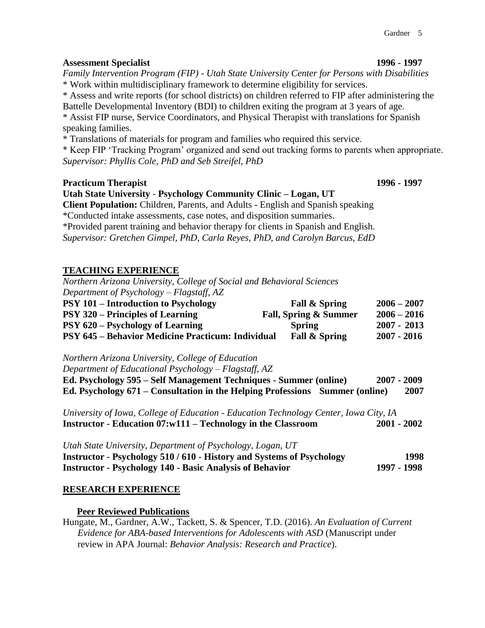#### **Assessment Specialist 1996 - 1997**

*Family Intervention Program (FIP) - Utah State University Center for Persons with Disabilities* \* Work within multidisciplinary framework to determine eligibility for services.

\* Assess and write reports (for school districts) on children referred to FIP after administering the Battelle Developmental Inventory (BDI) to children exiting the program at 3 years of age.

\* Assist FIP nurse, Service Coordinators, and Physical Therapist with translations for Spanish speaking families.

\* Translations of materials for program and families who required this service.

\* Keep FIP 'Tracking Program' organized and send out tracking forms to parents when appropriate. *Supervisor: Phyllis Cole, PhD and Seb Streifel, PhD*

#### **Practicum Therapist 1996 - 1997**

**Utah State University** - **Psychology Community Clinic – Logan, UT Client Population:** Children, Parents, and Adults - English and Spanish speaking

\*Conducted intake assessments, case notes, and disposition summaries.

\*Provided parent training and behavior therapy for clients in Spanish and English.

*Supervisor: Gretchen Gimpel, PhD, Carla Reyes, PhD, and Carolyn Barcus, EdD*

## **TEACHING EXPERIENCE**

*Northern Arizona University, College of Social and Behavioral Sciences Department of Psychology – Flagstaff, AZ*

| <b>PSY 101 – Introduction to Psychology</b>              | Fall & Spring            | $2006 - 2007$ |
|----------------------------------------------------------|--------------------------|---------------|
| <b>PSY 320 – Principles of Learning</b>                  | Fall, Spring & Summer    | $2006 - 2016$ |
| <b>PSY 620 – Psychology of Learning</b>                  | <b>Spring</b>            | $2007 - 2013$ |
| <b>PSY 645 – Behavior Medicine Practicum: Individual</b> | <b>Fall &amp; Spring</b> | $2007 - 2016$ |

*Northern Arizona University, College of Education*

*Department of Educational Psychology – Flagstaff, AZ*

| Ed. Psychology 595 – Self Management Techniques - Summer (online)            | $2007 - 2009$ |
|------------------------------------------------------------------------------|---------------|
| Ed. Psychology 671 – Consultation in the Helping Professions Summer (online) | 2007          |

*University of Iowa, College of Education - Education Technology Center, Iowa City, IA* **Instructor** *-* **Education 07:w111 – Technology in the Classroom 2001 - 2002**

*Utah State University, Department of Psychology, Logan, UT* **Instructor - Psychology 510 / 610 - History and Systems of Psychology 1998 Instructor - Psychology 140 - Basic Analysis of Behavior 1997 - 1998**

### **RESEARCH EXPERIENCE**

**Peer Reviewed Publications**

Hungate, M., Gardner, A.W., Tackett, S. & Spencer, T.D. (2016). *An Evaluation of Current Evidence for ABA-based Interventions for Adolescents with ASD* (Manuscript under review in APA Journal: *Behavior Analysis: Research and Practice*).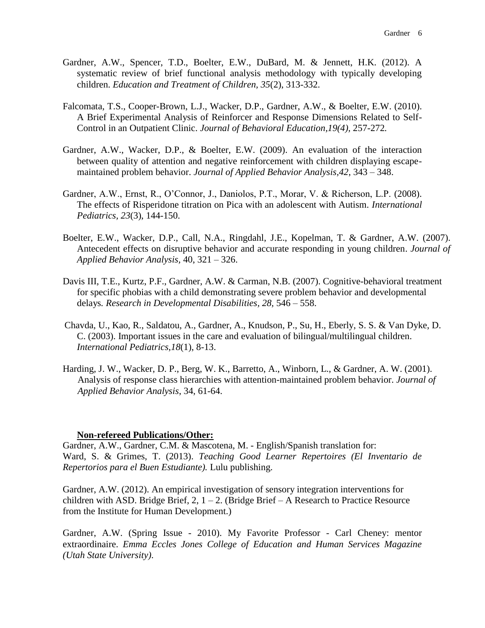- Gardner, A.W., Spencer, T.D., Boelter, E.W., DuBard, M. & Jennett, H.K. (2012). A systematic review of brief functional analysis methodology with typically developing children. *Education and Treatment of Children, 35*(2), 313-332.
- Falcomata, T.S., Cooper-Brown, L.J., Wacker, D.P., Gardner, A.W., & Boelter, E.W. (2010). A Brief Experimental Analysis of Reinforcer and Response Dimensions Related to Self-Control in an Outpatient Clinic. *Journal of Behavioral Education,19(4),* 257-272*.*
- Gardner, A.W., Wacker, D.P., & Boelter, E.W. (2009). An evaluation of the interaction between quality of attention and negative reinforcement with children displaying escapemaintained problem behavior. *Journal of Applied Behavior Analysis,42*, 343 – 348.
- Gardner, A.W., Ernst, R., O'Connor, J., Daniolos, P.T., Morar, V. & Richerson, L.P. (2008). The effects of Risperidone titration on Pica with an adolescent with Autism. *International Pediatrics, 23*(3), 144-150.
- Boelter, E.W., Wacker, D.P., Call, N.A., Ringdahl, J.E., Kopelman, T. & Gardner, A.W. (2007). Antecedent effects on disruptive behavior and accurate responding in young children. *Journal of Applied Behavior Analysis,* 40, 321 – 326.
- Davis III, T.E., Kurtz, P.F., Gardner, A.W. & Carman, N.B. (2007). Cognitive-behavioral treatment for specific phobias with a child demonstrating severe problem behavior and developmental delays*. Research in Developmental Disabilities, 28,* 546 – 558.
- Chavda, U., Kao, R., Saldatou, A., Gardner, A., Knudson, P., Su, H., Eberly, S. S. & Van Dyke, D. C. (2003). Important issues in the care and evaluation of bilingual/multilingual children. *International Pediatrics,18*(1), 8-13.
- Harding, J. W., Wacker, D. P., Berg, W. K., Barretto, A., Winborn, L., & Gardner, A. W. (2001). Analysis of response class hierarchies with attention-maintained problem behavior. *Journal of Applied Behavior Analysis*, 34, 61-64.

### **Non-refereed Publications/Other:**

Gardner, A.W., Gardner, C.M. & Mascotena, M. - English/Spanish translation for: Ward, S. & Grimes, T. (2013). *Teaching Good Learner Repertoires (El Inventario de Repertorios para el Buen Estudiante).* Lulu publishing.

Gardner, A.W. (2012). An empirical investigation of sensory integration interventions for children with ASD. Bridge Brief,  $2$ ,  $1 - 2$ . (Bridge Brief – A Research to Practice Resource from the Institute for Human Development.)

Gardner, A.W. (Spring Issue - 2010). My Favorite Professor - Carl Cheney: mentor extraordinaire. *Emma Eccles Jones College of Education and Human Services Magazine (Utah State University)*.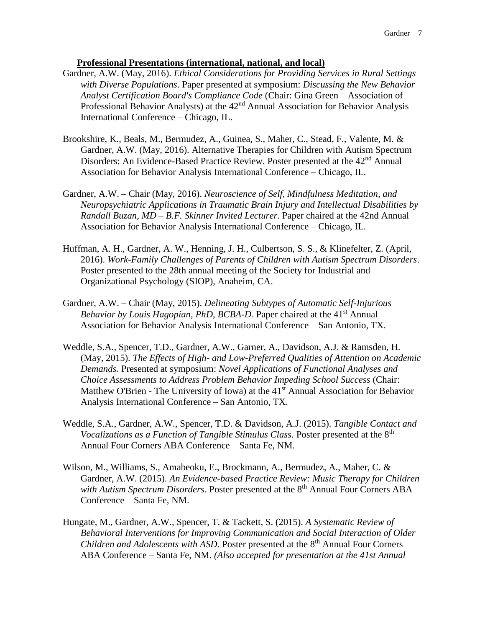#### **Professional Presentations (international, national, and local)**

- Gardner, A.W. (May, 2016). *Ethical Considerations for Providing Services in Rural Settings with Diverse Populations*. Paper presented at symposium: *Discussing the New Behavior Analyst Certification Board's Compliance Code* (Chair: Gina Green – Association of Professional Behavior Analysts) at the 42<sup>nd</sup> Annual Association for Behavior Analysis International Conference – Chicago, IL.
- Brookshire, K., Beals, M., Bermudez, A., Guinea, S., Maher, C., Stead, F., Valente, M. & Gardner, A.W. (May, 2016). Alternative Therapies for Children with Autism Spectrum Disorders: An Evidence-Based Practice Review. Poster presented at the 42<sup>nd</sup> Annual Association for Behavior Analysis International Conference – Chicago, IL.
- Gardner, A.W. Chair (May, 2016). *Neuroscience of Self, Mindfulness Meditation, and Neuropsychiatric Applications in Traumatic Brain Injury and Intellectual Disabilities by Randall Buzan, MD – B.F. Skinner Invited Lecturer.* Paper chaired at the 42nd Annual Association for Behavior Analysis International Conference – Chicago, IL.
- Huffman, A. H., Gardner, A. W., Henning, J. H., Culbertson, S. S., & Klinefelter, Z. (April, 2016). *Work-Family Challenges of Parents of Children with Autism Spectrum Disorders*. Poster presented to the 28th annual meeting of the Society for Industrial and Organizational Psychology (SIOP), Anaheim, CA.
- Gardner, A.W. Chair (May, 2015). *Delineating Subtypes of Automatic Self-Injurious*  Behavior by Louis Hagopian, PhD, BCBA-D. Paper chaired at the 41<sup>st</sup> Annual Association for Behavior Analysis International Conference – San Antonio, TX.
- Weddle, S.A., Spencer, T.D., Gardner, A.W., Garner, A., Davidson, A.J. & Ramsden, H. (May, 2015). *The Effects of High- and Low-Preferred Qualities of Attention on Academic Demands.* Presented at symposium: *Novel Applications of Functional Analyses and Choice Assessments to Address Problem Behavior Impeding School Success* (Chair: Matthew O'Brien - The University of Iowa) at the  $41<sup>st</sup>$  Annual Association for Behavior Analysis International Conference – San Antonio, TX.
- Weddle, S.A., Gardner, A.W., Spencer, T.D. & Davidson, A.J. (2015). *Tangible Contact and Vocalizations as a Function of Tangible Stimulus Class.* Poster presented at the 8<sup>th</sup> Annual Four Corners ABA Conference – Santa Fe, NM.
- Wilson, M., Williams, S., Amabeoku, E., Brockmann, A., Bermudez, A., Maher, C. & Gardner, A.W. (2015). *An Evidence-based Practice Review: Music Therapy for Children*  with Autism Spectrum Disorders. Poster presented at the 8<sup>th</sup> Annual Four Corners ABA Conference – Santa Fe, NM.
- Hungate, M., Gardner, A.W., Spencer, T. & Tackett, S. (2015). *A Systematic Review of Behavioral Interventions for Improving Communication and Social Interaction of Older Children and Adolescents with ASD.* Poster presented at the 8<sup>th</sup> Annual Four Corners ABA Conference – Santa Fe, NM. *(Also accepted for presentation at the 41st Annual*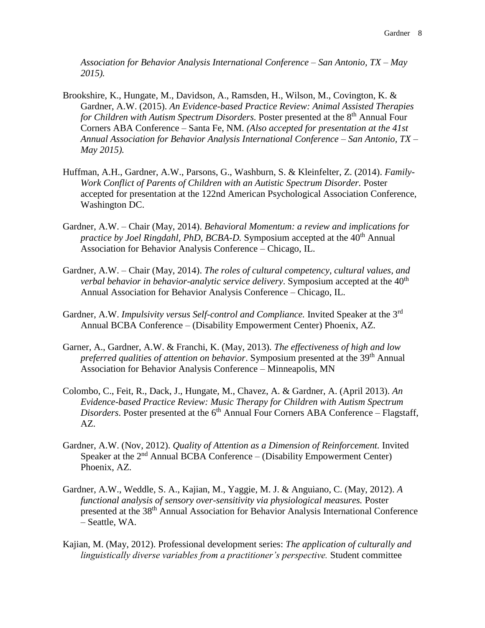*Association for Behavior Analysis International Conference – San Antonio, TX – May 2015).*

- Brookshire, K., Hungate, M., Davidson, A., Ramsden, H., Wilson, M., Covington, K. & Gardner, A.W. (2015). *An Evidence-based Practice Review: Animal Assisted Therapies for Children with Autism Spectrum Disorders.* Poster presented at the 8<sup>th</sup> Annual Four Corners ABA Conference – Santa Fe, NM. *(Also accepted for presentation at the 41st Annual Association for Behavior Analysis International Conference – San Antonio, TX – May 2015).*
- Huffman, A.H., Gardner, A.W., Parsons, G., Washburn, S. & Kleinfelter, Z. (2014). *Family-Work Conflict of Parents of Children with an Autistic Spectrum Disorder.* Poster accepted for presentation at the 122nd American Psychological Association Conference, Washington DC.
- Gardner, A.W. Chair (May, 2014). *Behavioral Momentum: a review and implications for practice by Joel Ringdahl, PhD, BCBA-D.* Symposium accepted at the 40<sup>th</sup> Annual Association for Behavior Analysis Conference – Chicago, IL.
- Gardner, A.W. Chair (May, 2014). *The roles of cultural competency, cultural values, and verbal behavior in behavior-analytic service delivery*. Symposium accepted at the 40<sup>th</sup> Annual Association for Behavior Analysis Conference – Chicago, IL.
- Gardner, A.W. *Impulsivity versus Self-control and Compliance.* Invited Speaker at the 3rd Annual BCBA Conference – (Disability Empowerment Center) Phoenix, AZ.
- Garner, A., Gardner, A.W. & Franchi, K. (May, 2013). *The effectiveness of high and low preferred qualities of attention on behavior*. Symposium presented at the 39th Annual Association for Behavior Analysis Conference – Minneapolis, MN
- Colombo, C., Feit, R., Dack, J., Hungate, M., Chavez, A. & Gardner, A. (April 2013). *An Evidence-based Practice Review: Music Therapy for Children with Autism Spectrum Disorders*. Poster presented at the 6<sup>th</sup> Annual Four Corners ABA Conference – Flagstaff, AZ.
- Gardner, A.W. (Nov, 2012). *Quality of Attention as a Dimension of Reinforcement.* Invited Speaker at the  $2<sup>nd</sup>$  Annual BCBA Conference – (Disability Empowerment Center) Phoenix, AZ.
- Gardner, A.W., Weddle, S. A., Kajian, M., Yaggie, M. J. & Anguiano, C. (May, 2012). *A functional analysis of sensory over-sensitivity via physiological measures.* Poster presented at the 38th Annual Association for Behavior Analysis International Conference – Seattle, WA.
- Kajian, M. (May, 2012). Professional development series: *The application of culturally and linguistically diverse variables from a practitioner's perspective.* Student committee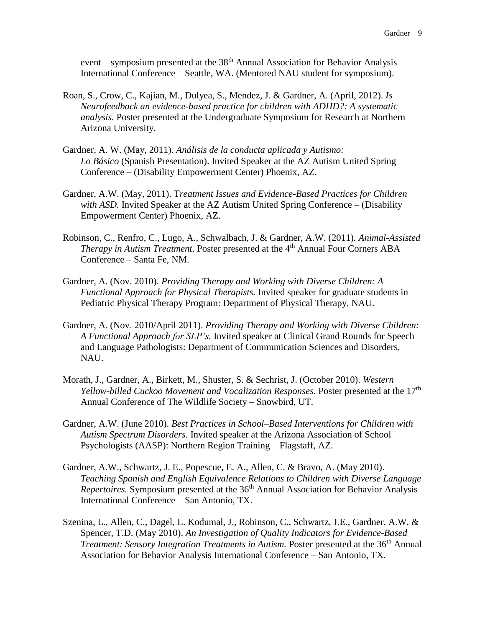event – symposium presented at the  $38<sup>th</sup>$  Annual Association for Behavior Analysis International Conference – Seattle, WA. (Mentored NAU student for symposium).

- Roan, S., Crow, C., Kajian, M., Dulyea, S., Mendez, J. & Gardner, A. (April, 2012). *Is Neurofeedback an evidence-based practice for children with ADHD?: A systematic analysis.* Poster presented at the Undergraduate Symposium for Research at Northern Arizona University.
- Gardner, A. W. (May, 2011). *Análisis de la conducta aplicada y Autismo: Lo Básico* (Spanish Presentation). Invited Speaker at the AZ Autism United Spring Conference – (Disability Empowerment Center) Phoenix, AZ.
- Gardner, A.W. (May, 2011). T*reatment Issues and Evidence-Based Practices for Children with ASD.* Invited Speaker at the AZ Autism United Spring Conference – (Disability Empowerment Center) Phoenix, AZ.
- Robinson, C., Renfro, C., Lugo, A., Schwalbach, J. & Gardner, A.W. (2011). *Animal-Assisted Therapy in Autism Treatment.* Poster presented at the 4<sup>th</sup> Annual Four Corners ABA Conference – Santa Fe, NM.
- Gardner, A. (Nov. 2010). *Providing Therapy and Working with Diverse Children: A Functional Approach for Physical Therapists.* Invited speaker for graduate students in Pediatric Physical Therapy Program: Department of Physical Therapy, NAU.
- Gardner, A. (Nov. 2010/April 2011). *Providing Therapy and Working with Diverse Children: A Functional Approach for SLP's.* Invited speaker at Clinical Grand Rounds for Speech and Language Pathologists: Department of Communication Sciences and Disorders, NAU.
- Morath, J., Gardner, A., Birkett, M., Shuster, S. & Sechrist, J. (October 2010). *Western Yellow-billed Cuckoo Movement and Vocalization Responses.* Poster presented at the 17<sup>th</sup> Annual Conference of The Wildlife Society – Snowbird, UT.
- Gardner, A.W. (June 2010). *Best Practices in School–Based Interventions for Children with Autism Spectrum Disorders.* Invited speaker at the Arizona Association of School Psychologists (AASP): Northern Region Training – Flagstaff, AZ.
- Gardner, A.W., Schwartz, J. E., Popescue, E. A., Allen, C. & Bravo, A. (May 2010). *Teaching Spanish and English Equivalence Relations to Children with Diverse Language Repertoires.* Symposium presented at the 36<sup>th</sup> Annual Association for Behavior Analysis International Conference – San Antonio, TX.
- Szenina, L., Allen, C., Dagel, L. Kodumal, J., Robinson, C., Schwartz, J.E., Gardner, A.W. & Spencer, T.D. (May 2010). *An Investigation of Quality Indicators for Evidence-Based Treatment: Sensory Integration Treatments in Autism.* Poster presented at the 36<sup>th</sup> Annual Association for Behavior Analysis International Conference – San Antonio, TX.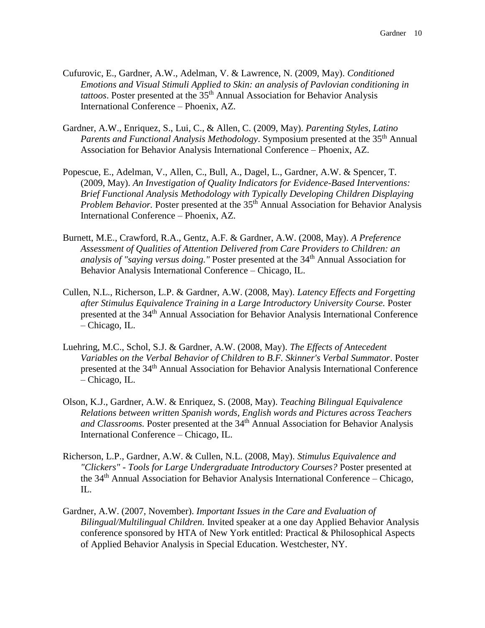- Cufurovic, E., Gardner, A.W., Adelman, V. & Lawrence, N. (2009, May). *Conditioned Emotions and Visual Stimuli Applied to Skin: an analysis of Pavlovian conditioning in tattoos*. Poster presented at the 35th Annual Association for Behavior Analysis International Conference – Phoenix, AZ.
- Gardner, A.W., Enriquez, S., Lui, C., & Allen, C. (2009, May). *Parenting Styles, Latino Parents and Functional Analysis Methodology*. Symposium presented at the 35th Annual Association for Behavior Analysis International Conference – Phoenix, AZ.
- Popescue, E., Adelman, V., Allen, C., Bull, A., Dagel, L., Gardner, A.W. & Spencer, T. (2009, May). *An Investigation of Quality Indicators for Evidence-Based Interventions: Brief Functional Analysis Methodology with Typically Developing Children Displaying Problem Behavior.* Poster presented at the 35<sup>th</sup> Annual Association for Behavior Analysis International Conference – Phoenix, AZ.
- Burnett, M.E., Crawford, R.A., Gentz, A.F. & Gardner, A.W. (2008, May). *A Preference Assessment of Qualities of Attention Delivered from Care Providers to Children: an analysis of "saying versus doing."* Poster presented at the 34<sup>th</sup> Annual Association for Behavior Analysis International Conference – Chicago, IL.
- Cullen, N.L., Richerson, L.P. & Gardner, A.W. (2008, May). *Latency Effects and Forgetting after Stimulus Equivalence Training in a Large Introductory University Course.* Poster presented at the 34<sup>th</sup> Annual Association for Behavior Analysis International Conference – Chicago, IL.
- Luehring, M.C., Schol, S.J. & Gardner, A.W. (2008, May). *The Effects of Antecedent Variables on the Verbal Behavior of Children to B.F. Skinner's Verbal Summator*. Poster presented at the 34<sup>th</sup> Annual Association for Behavior Analysis International Conference – Chicago, IL.
- Olson, K.J., Gardner, A.W. & Enriquez, S. (2008, May). *Teaching Bilingual Equivalence Relations between written Spanish words, English words and Pictures across Teachers*  and Classrooms. Poster presented at the 34<sup>th</sup> Annual Association for Behavior Analysis International Conference – Chicago, IL.
- Richerson, L.P., Gardner, A.W. & Cullen, N.L. (2008, May). *Stimulus Equivalence and "Clickers" - Tools for Large Undergraduate Introductory Courses?* Poster presented at the 34th Annual Association for Behavior Analysis International Conference – Chicago, IL.
- Gardner, A.W. (2007, November). *Important Issues in the Care and Evaluation of Bilingual/Multilingual Children.* Invited speaker at a one day Applied Behavior Analysis conference sponsored by HTA of New York entitled: Practical & Philosophical Aspects of Applied Behavior Analysis in Special Education. Westchester, NY.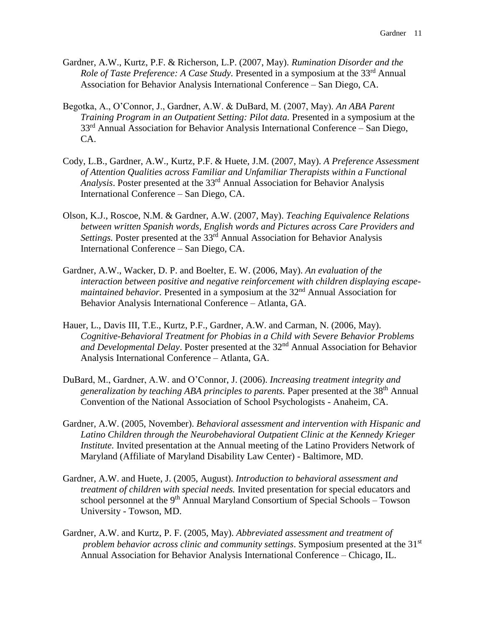- Gardner, A.W., Kurtz, P.F. & Richerson, L.P. (2007, May). *Rumination Disorder and the Role of Taste Preference: A Case Study.* Presented in a symposium at the 33<sup>rd</sup> Annual Association for Behavior Analysis International Conference – San Diego, CA.
- Begotka, A., O'Connor, J., Gardner, A.W. & DuBard, M. (2007, May). *An ABA Parent Training Program in an Outpatient Setting: Pilot data.* Presented in a symposium at the 33<sup>rd</sup> Annual Association for Behavior Analysis International Conference – San Diego, CA.
- Cody, L.B., Gardner, A.W., Kurtz, P.F. & Huete, J.M. (2007, May). *A Preference Assessment of Attention Qualities across Familiar and Unfamiliar Therapists within a Functional Analysis*. Poster presented at the 33rd Annual Association for Behavior Analysis International Conference – San Diego, CA.
- Olson, K.J., Roscoe, N.M. & Gardner, A.W. (2007, May). *Teaching Equivalence Relations between written Spanish words, English words and Pictures across Care Providers and*  Settings. Poster presented at the 33<sup>rd</sup> Annual Association for Behavior Analysis International Conference – San Diego, CA.
- Gardner, A.W., Wacker, D. P. and Boelter, E. W. (2006, May). *An evaluation of the interaction between positive and negative reinforcement with children displaying escapemaintained behavior.* Presented in a symposium at the 32<sup>nd</sup> Annual Association for Behavior Analysis International Conference – Atlanta, GA.
- Hauer, L., Davis III, T.E., Kurtz, P.F., Gardner, A.W. and Carman, N. (2006, May). *Cognitive-Behavioral Treatment for Phobias in a Child with Severe Behavior Problems and Developmental Delay*. Poster presented at the 32nd Annual Association for Behavior Analysis International Conference – Atlanta, GA.
- DuBard, M., Gardner, A.W. and O'Connor, J. (2006). *Increasing treatment integrity and generalization by teaching ABA principles to parents.* Paper presented at the 38th Annual Convention of the National Association of School Psychologists - Anaheim, CA.
- Gardner, A.W. (2005, November). *Behavioral assessment and intervention with Hispanic and Latino Children through the Neurobehavioral Outpatient Clinic at the Kennedy Krieger Institute.* Invited presentation at the Annual meeting of the Latino Providers Network of Maryland (Affiliate of Maryland Disability Law Center) - Baltimore, MD.
- Gardner, A.W. and Huete, J. (2005, August). *Introduction to behavioral assessment and treatment of children with special needs.* Invited presentation for special educators and school personnel at the  $9<sup>th</sup>$  Annual Maryland Consortium of Special Schools – Towson University - Towson, MD.
- Gardner, A.W. and Kurtz, P. F. (2005, May). *Abbreviated assessment and treatment of problem behavior across clinic and community settings*. Symposium presented at the 31<sup>st</sup> Annual Association for Behavior Analysis International Conference – Chicago, IL.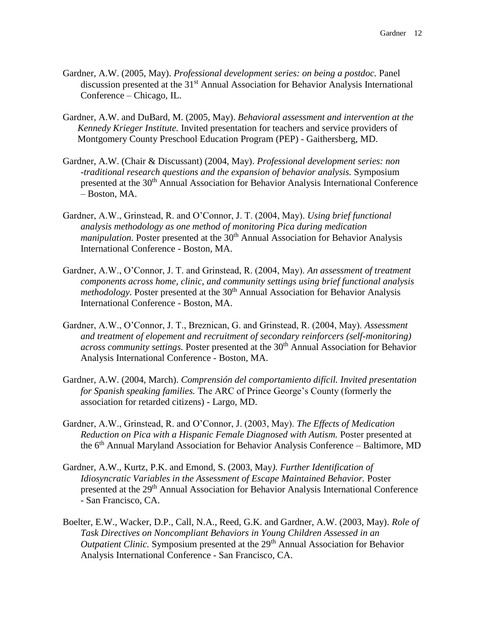- Gardner, A.W. (2005, May). *Professional development series: on being a postdoc.* Panel discussion presented at the 31<sup>st</sup> Annual Association for Behavior Analysis International Conference – Chicago, IL.
- Gardner, A.W. and DuBard, M. (2005, May). *Behavioral assessment and intervention at the Kennedy Krieger Institute.* Invited presentation for teachers and service providers of Montgomery County Preschool Education Program (PEP) - Gaithersberg, MD.
- Gardner, A.W. (Chair & Discussant) (2004, May). *Professional development series: non -traditional research questions and the expansion of behavior analysis.* Symposium presented at the 30<sup>th</sup> Annual Association for Behavior Analysis International Conference – Boston, MA.
- Gardner, A.W., Grinstead, R. and O'Connor, J. T. (2004, May). *Using brief functional analysis methodology as one method of monitoring Pica during medication manipulation.* Poster presented at the 30<sup>th</sup> Annual Association for Behavior Analysis International Conference - Boston, MA.
- Gardner, A.W., O'Connor, J. T. and Grinstead, R. (2004, May). *An assessment of treatment components across home, clinic, and community settings using brief functional analysis methodology*. Poster presented at the 30<sup>th</sup> Annual Association for Behavior Analysis International Conference - Boston, MA.
- Gardner, A.W., O'Connor, J. T., Breznican, G. and Grinstead, R. (2004, May). *Assessment and treatment of elopement and recruitment of secondary reinforcers (self-monitoring) across community settings.* Poster presented at the 30<sup>th</sup> Annual Association for Behavior Analysis International Conference - Boston, MA.
- Gardner, A.W. (2004, March). *Comprensión del comportamiento difícil. Invited presentation for Spanish speaking families.* The ARC of Prince George's County (formerly the association for retarded citizens) - Largo, MD.
- Gardner, A.W., Grinstead, R. and O'Connor, J. (2003, May). *The Effects of Medication Reduction on Pica with a Hispanic Female Diagnosed with Autism.* Poster presented at the 6<sup>th</sup> Annual Maryland Association for Behavior Analysis Conference – Baltimore, MD
- Gardner, A.W., Kurtz, P.K. and Emond, S. (2003, May*). Further Identification of Idiosyncratic Variables in the Assessment of Escape Maintained Behavior.* Poster presented at the 29<sup>th</sup> Annual Association for Behavior Analysis International Conference - San Francisco, CA.
- Boelter, E.W., Wacker, D.P., Call, N.A., Reed, G.K. and Gardner, A.W. (2003, May). *Role of Task Directives on Noncompliant Behaviors in Young Children Assessed in an Outpatient Clinic.* Symposium presented at the 29<sup>th</sup> Annual Association for Behavior Analysis International Conference - San Francisco, CA.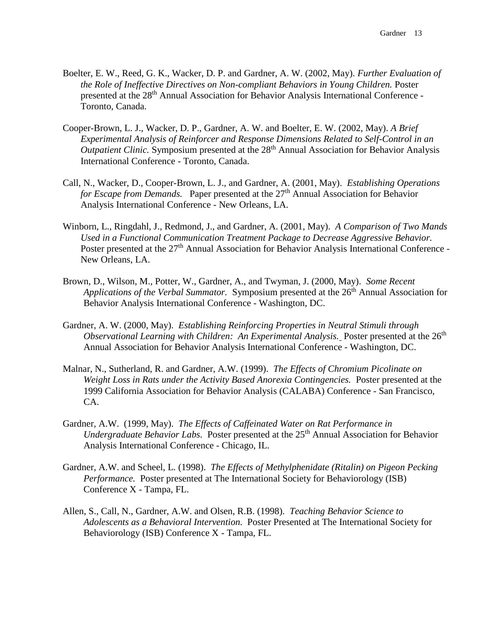- Boelter, E. W., Reed, G. K., Wacker, D. P. and Gardner, A. W. (2002, May). *Further Evaluation of the Role of Ineffective Directives on Non-compliant Behaviors in Young Children.* Poster presented at the 28<sup>th</sup> Annual Association for Behavior Analysis International Conference -Toronto, Canada.
- Cooper-Brown, L. J., Wacker, D. P., Gardner, A. W. and Boelter, E. W. (2002, May). *A Brief Experimental Analysis of Reinforcer and Response Dimensions Related to Self-Control in an Outpatient Clinic.* Symposium presented at the 28<sup>th</sup> Annual Association for Behavior Analysis International Conference - Toronto, Canada.
- Call, N., Wacker, D., Cooper-Brown, L. J., and Gardner, A. (2001, May). *Establishing Operations for Escape from Demands.* Paper presented at the 27<sup>th</sup> Annual Association for Behavior Analysis International Conference - New Orleans, LA.
- Winborn, L., Ringdahl, J., Redmond, J., and Gardner, A. (2001, May). *A Comparison of Two Mands Used in a Functional Communication Treatment Package to Decrease Aggressive Behavior.* Poster presented at the 27<sup>th</sup> Annual Association for Behavior Analysis International Conference -New Orleans, LA.
- Brown, D., Wilson, M., Potter, W., Gardner, A., and Twyman, J. (2000, May). *Some Recent Applications of the Verbal Summator.* Symposium presented at the 26<sup>th</sup> Annual Association for Behavior Analysis International Conference - Washington, DC.
- Gardner, A. W. (2000, May). *Establishing Reinforcing Properties in Neutral Stimuli through Observational Learning with Children: An Experimental Analysis. Poster presented at the 26<sup>th</sup>* Annual Association for Behavior Analysis International Conference - Washington, DC.
- Malnar, N., Sutherland, R. and Gardner, A.W. (1999). *The Effects of Chromium Picolinate on Weight Loss in Rats under the Activity Based Anorexia Contingencies.* Poster presented at the 1999 California Association for Behavior Analysis (CALABA) Conference - San Francisco, CA.
- Gardner, A.W. (1999, May). *The Effects of Caffeinated Water on Rat Performance in Undergraduate Behavior Labs.* Poster presented at the 25<sup>th</sup> Annual Association for Behavior Analysis International Conference - Chicago, IL.
- Gardner, A.W. and Scheel, L. (1998). *The Effects of Methylphenidate (Ritalin) on Pigeon Pecking Performance.* Poster presented at The International Society for Behaviorology (ISB) Conference X - Tampa, FL.
- Allen, S., Call, N., Gardner, A.W. and Olsen, R.B. (1998). *Teaching Behavior Science to Adolescents as a Behavioral Intervention.* Poster Presented at The International Society for Behaviorology (ISB) Conference X - Tampa, FL.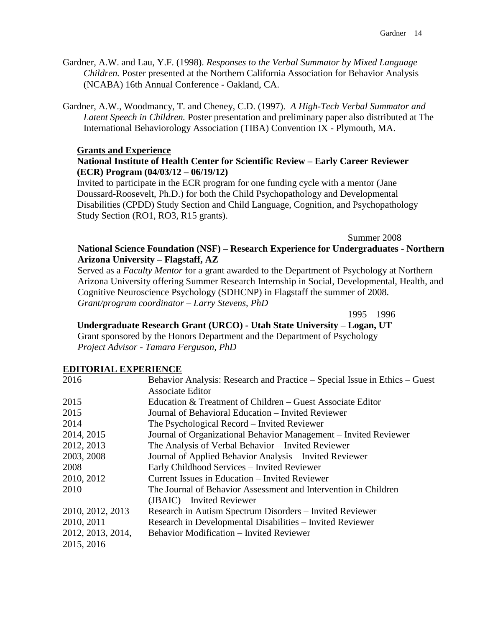- Gardner, A.W. and Lau, Y.F. (1998). *Responses to the Verbal Summator by Mixed Language Children.* Poster presented at the Northern California Association for Behavior Analysis (NCABA) 16th Annual Conference - Oakland, CA.
- Gardner, A.W., Woodmancy, T. and Cheney, C.D. (1997). *A High-Tech Verbal Summator and Latent Speech in Children.* Poster presentation and preliminary paper also distributed at The International Behaviorology Association (TIBA) Convention IX - Plymouth, MA.

#### **Grants and Experience**

### **National Institute of Health Center for Scientific Review – Early Career Reviewer (ECR) Program (04/03/12 – 06/19/12)**

Invited to participate in the ECR program for one funding cycle with a mentor (Jane Doussard-Roosevelt, Ph.D.) for both the Child Psychopathology and Developmental Disabilities (CPDD) Study Section and Child Language, Cognition, and Psychopathology Study Section (RO1, RO3, R15 grants).

Summer 2008

## **National Science Foundation (NSF) – Research Experience for Undergraduates - Northern Arizona University – Flagstaff, AZ**

Served as a *Faculty Mentor* for a grant awarded to the Department of Psychology at Northern Arizona University offering Summer Research Internship in Social, Developmental, Health, and Cognitive Neuroscience Psychology (SDHCNP) in Flagstaff the summer of 2008. *Grant/program coordinator – Larry Stevens, PhD*

1995 – 1996

**Undergraduate Research Grant (URCO) - Utah State University – Logan, UT** Grant sponsored by the Honors Department and the Department of Psychology

*Project Advisor - Tamara Ferguson, PhD*

### **EDITORIAL EXPERIENCE**

| 2016              | Behavior Analysis: Research and Practice – Special Issue in Ethics – Guest |
|-------------------|----------------------------------------------------------------------------|
|                   | <b>Associate Editor</b>                                                    |
| 2015              | Education & Treatment of Children – Guest Associate Editor                 |
| 2015              | Journal of Behavioral Education – Invited Reviewer                         |
| 2014              | The Psychological Record – Invited Reviewer                                |
| 2014, 2015        | Journal of Organizational Behavior Management – Invited Reviewer           |
| 2012, 2013        | The Analysis of Verbal Behavior – Invited Reviewer                         |
| 2003, 2008        | Journal of Applied Behavior Analysis – Invited Reviewer                    |
| 2008              | Early Childhood Services - Invited Reviewer                                |
| 2010, 2012        | Current Issues in Education – Invited Reviewer                             |
| 2010              | The Journal of Behavior Assessment and Intervention in Children            |
|                   | $(JBAIC)$ – Invited Reviewer                                               |
| 2010, 2012, 2013  | Research in Autism Spectrum Disorders – Invited Reviewer                   |
| 2010, 2011        | Research in Developmental Disabilities – Invited Reviewer                  |
| 2012, 2013, 2014, | <b>Behavior Modification – Invited Reviewer</b>                            |
| 2015, 2016        |                                                                            |